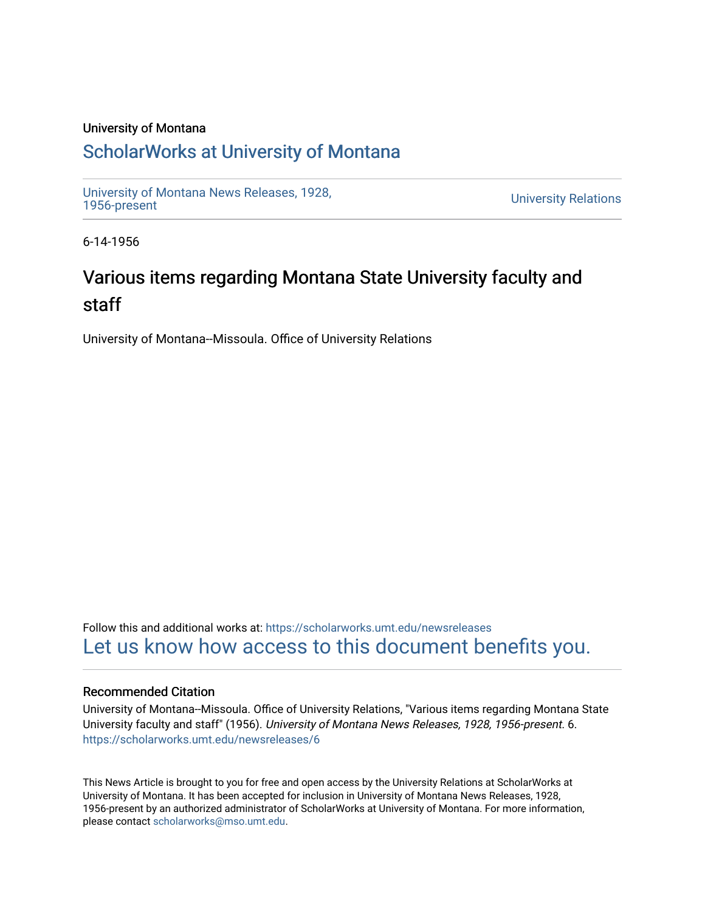## University of Montana

## [ScholarWorks at University of Montana](https://scholarworks.umt.edu/)

[University of Montana News Releases, 1928,](https://scholarworks.umt.edu/newsreleases) 

**University Relations** 

6-14-1956

## Various items regarding Montana State University faculty and staff

University of Montana--Missoula. Office of University Relations

Follow this and additional works at: [https://scholarworks.umt.edu/newsreleases](https://scholarworks.umt.edu/newsreleases?utm_source=scholarworks.umt.edu%2Fnewsreleases%2F6&utm_medium=PDF&utm_campaign=PDFCoverPages) [Let us know how access to this document benefits you.](https://goo.gl/forms/s2rGfXOLzz71qgsB2) 

## Recommended Citation

University of Montana--Missoula. Office of University Relations, "Various items regarding Montana State University faculty and staff" (1956). University of Montana News Releases, 1928, 1956-present. 6. [https://scholarworks.umt.edu/newsreleases/6](https://scholarworks.umt.edu/newsreleases/6?utm_source=scholarworks.umt.edu%2Fnewsreleases%2F6&utm_medium=PDF&utm_campaign=PDFCoverPages)

This News Article is brought to you for free and open access by the University Relations at ScholarWorks at University of Montana. It has been accepted for inclusion in University of Montana News Releases, 1928, 1956-present by an authorized administrator of ScholarWorks at University of Montana. For more information, please contact [scholarworks@mso.umt.edu.](mailto:scholarworks@mso.umt.edu)